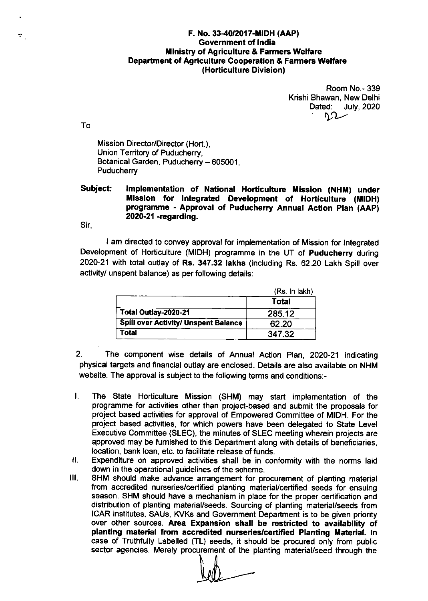## F. No. 33-40/2017-MIDH (AAP) Government of lndia **Ministry of Agriculture & Farmers Welfare** Department of Agriculture Cooperation & Farmers Welfare (Horticulture Division)

Room No.- 339 Krishi Bhawan, New Delhi Dated: July, 2020

To

 $\sigma_{\rm{g}}$ 

Mission Director/Director (Hort.), Union Territory of Puducherry, Botanical Garden, Puducherry - 605001, **Puducherry** 

## Subject: Implementation of National Horticulture Mission (NHM) under Mission for Integrated Development of Horticulture (MIDH) programme - Approval of Puducherry Annual Action plan (AAp) 2020-21 -regarding.

Sir,

I am directed to convey approval for implementation of Mission for lntegrated Development of Horticulture (MIDH) programme in the UT of Puducherry during 2020-21 with total outlay of Rs. 347.32 lakhs (including Rs. 62.20 Lakh Spill over activity/ unspent balance) as per following details:

|                                             | (Rs. In lak) |
|---------------------------------------------|--------------|
|                                             | Total        |
| Total Outlay-2020-21                        | 285.12       |
| <b>Spill over Activity/ Unspent Balance</b> | 62.20        |
| Total                                       | 347.32       |

2. The component wise details of Annual Action Plan, 2020-21 indicating physical targets and financial outlay are enclosed. Details are also available on NHM website. The approval is subject to the following terms and conditions:-

- I. The State Horticulture Mission (SHM) may start implementation of the programme for aclivities other than project-based and submit the proposals for project based activities for approval of Empowered Committee of MIDH. For the project based activities, for which powers have been delegated to State Level Executive Committee (SLEC), the minutes of SLEC meeting wherein projects are approved may be furnished to this Department along with details of beneficiaries, location, bank loan, etc. to facilitate release of funds.
- Expenditure on approved activities shall be in conformity with the norms laid down in the operational guidelines of the scheme. il
- SHM should make advance arrangement for procurement of planting material from accredited nurseries/certified planting material/certified seeds for ensuing season. SHM should have a mechanism in place for the proper certification and distribution of planting material/seeds. Sourcing of planting material/seeds from ICAR institutes, SAUs, KVKs and Government Department is to be given priority over other sources. Area Expansion shall be restricted to availability of planting material from accredited nurseries/certified Planting Material. In case of Truthfully Labelled (TL) seeds, it should be procured only from public ilt. sector agencies. Merely procurement of the planting material/seed through the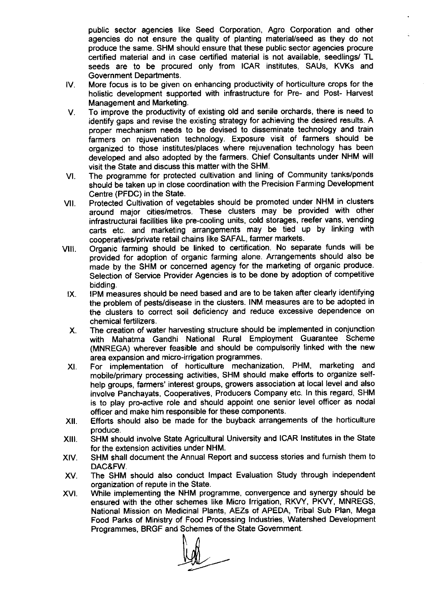public sector agencies like Seed Corporation, Agro Corporation and other agencies do not ensure the quality of planting material/seed as they do not produce the same. SHM should ensure that these public sector agencies procure certified material and in case certified material is not available, seedlings/ TL seeds are to be procured only from ICAR institutes, SAUs, KVKs and Government Departments.

- lV. More focus is to be given on enhancing productivity of horticulture crops for the holistic development supported with infrastructure for Pre- and Post- Harvest Management and Marketing.
- V. To improve the productivity of existing old and senile orchards, there is need to identify gaps and revise the existing strategy for achieving the desired results. A proper mechanism needs to be devised to disseminate technology and train farmers on rejuvenation technology. Exposure visit of farmers should be organized to those institutes/places where rejuvenation technology has been developed and also adopted by the farmers. Chief Consultants under NHM will visit the State and discuss this matter with the SHM.
- Vl. The programme for protected cultivation and lining of Community tanks/ponds should be taken up in close coordination with the Precision Farming Development Centre (PFDC) in the State.
- vll. Protected cultivation of vegetables should be promoted under NHM in clusters around major cities/metros. These clusters may be provided with other infrastructural facilities like pre-cooling units, cold storages, reefer vans, vending carts etc. and marketing arrangements may be tied up by linking with cooperatives/private retail chains like SAFAL, farmer markets.
- vlll. organic farming should be linked to certification. No separate funds will be provided for adoption of organic farming alone. Arrangements should also be made by the SHM or concerned agency for the marketing of organic produce. Selection of Service Provider Agencies is to be done by adoption of competitive bidding.
	- lX. IPM measures should be need based and are to be taken after clearly identifying the problem of pests/disease in the clusters. INM measures are to be adopted in the clusters to correct soil deficiency and reduce excessive dependence on chemical fertilizers.
	- X. The creation of water harvesting structure should be implemented in conjunction with Mahatma Gandhi National Rural Employment Guarantee Scheme (MNREGA) wherever feasible and should be compulsorily linked with the new area expansion and micro-irrigation programmes.
	- Xl. For implementation of horticulture mechanization, PHM, marketing and mobile/primary processing activities, SHM should make efforts to organize selfhelp groups, farmers' interest groups, growers association at local level and also involve Panchayats, Cooperatives, Producers Company etc. ln this regard, SHM is to play pro-active role and should appoint one senior level officer as nodal officer and make him responsible for these components.
- xll. Efforts should also be made for the buyback arrangements of the horticulture produce.
- Xlll. SHM should involve State Agricultural University and ICAR lnstitutes in the State for the extension activities under NHM.
- XlV. SHM shall document the Annual Report and success stories and furnish them to DAC&FW.
- XV. The SHM should also conduct lmpact Evaluation Study through independent organization of repute in the State.
- XVl. While implementing the NHM programme, convergence and synergy should be ensured with the other schemes like Micro lrrigation, RKVY, PKVY, MNREGS, National Mission on Medicinal Plants, AEZS of APEDA, Tribal Sub Plan, Mega Food Parks of Ministry of Food Processing lndustries, Watershed Development Programmes, BRGF and Schemes of the State Government.

 $M$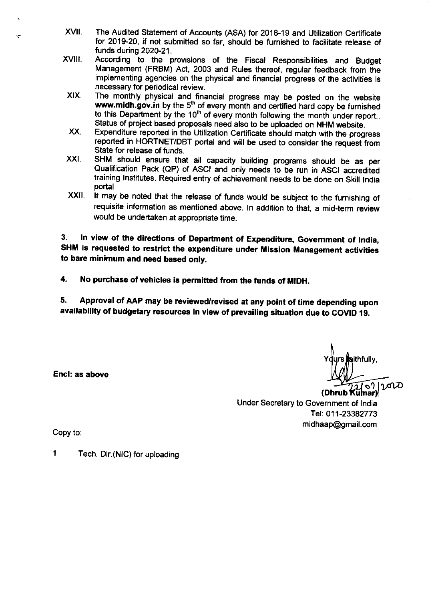- XVII. The Audited Statement of Accounts (ASA) for 2018-19 and Utilization Certificate for 2019-20, if not submitted so far, should be furnished to facilitate release of funds during 2020-21.
- xvilr. According to the provisions of the Fiscal Responsibilities and Budget Management (FRBM) Act, 2003 and Rules thereof, regular feedback from the implementing agencies on the physical and financial progress of the activities is necessary for periodical review.
- XIX. The monthly physical and financial progress may be posted on the website **www.midh.gov.in** by the 5<sup>th</sup> of every month and certified hard copy be furnished to this Department by the  $10^{\text{th}}$  of every month following the month under report.. Status of project based proposals need also to be uploaded on NHM website.
- xx. Expenditure reported in the Utilization Certificate should match with the progress reported in HORTNET/DBT portal and will be used to consider the request from State for release of funds.
- xxt. SHM should ensure that all capacity building programs should be as per Qualification Pack (QP) of ASCI and only needs to be run in ASCI accrediied training lnstitutes. Required entry of achievement needs to be done on skill lndia portal.
- xxil. It may be noted that the release of funds would be subject to the furnishing of requisite information as mentioned above. ln addition to that, a mid-term review would be undertaken at appropriate time.

3. In view of the directions of Department of Expenditure, Government of India, SHM is requested to restrict the expenditure under Mission Management activities to bare minimum and need based only.

4. No purchase of vehicles is permitted from the funds of MIDH.

5. Approval of AAP may be reviewed/revised at any point of time depending upon availability of budgetary resources in view of prevailing situation due to COVID 19.

> ithfully, ปุ ๑<sup>ฦ</sup><br>umar)

(Dhrub Under Secretary to Government of lndia Tel: 011-23382773 midhaap@gmail.com

Encl: as above

Copy to:

1 Tech. Dir. (NIC) for uploading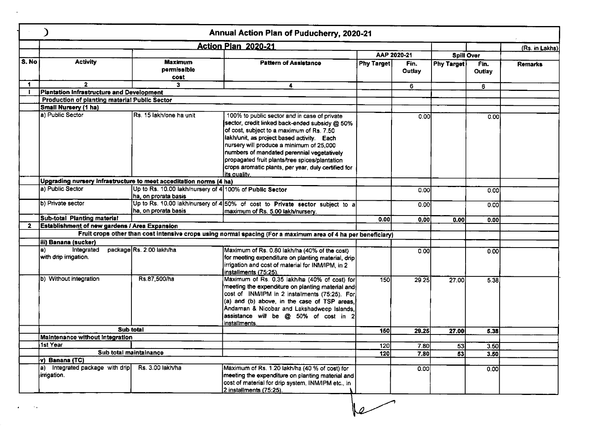|              |                                                                    |                                                                                  | Annual Action Plan of Puducherry, 2020-21                                                                                                                                                                                                                                                                                                                                                                            |                   |                |                   |                |                |
|--------------|--------------------------------------------------------------------|----------------------------------------------------------------------------------|----------------------------------------------------------------------------------------------------------------------------------------------------------------------------------------------------------------------------------------------------------------------------------------------------------------------------------------------------------------------------------------------------------------------|-------------------|----------------|-------------------|----------------|----------------|
|              |                                                                    |                                                                                  | <b>Action Plan 2020-21</b>                                                                                                                                                                                                                                                                                                                                                                                           |                   |                |                   |                | (Rs. in Lakhs) |
|              |                                                                    |                                                                                  |                                                                                                                                                                                                                                                                                                                                                                                                                      |                   | AAP 2020-21    | <b>Spill Over</b> |                |                |
| S.No         | <b>Activity</b>                                                    | Maximum<br>permissible<br>cost                                                   | <b>Pattern of Assistance</b>                                                                                                                                                                                                                                                                                                                                                                                         | <b>Phy Target</b> | Fin.<br>Outlay | <b>Phy Target</b> | Fin.<br>Outlay | <b>Remarks</b> |
| 1.           | $\overline{2}$                                                     | 3                                                                                | 4                                                                                                                                                                                                                                                                                                                                                                                                                    |                   | 6              |                   |                |                |
|              | <b>Plantation Infrastructure and Development</b>                   |                                                                                  |                                                                                                                                                                                                                                                                                                                                                                                                                      |                   |                |                   | 6              |                |
|              | Production of planting material Public Sector                      |                                                                                  |                                                                                                                                                                                                                                                                                                                                                                                                                      |                   |                |                   |                |                |
|              | Small Nursery (1 ha)                                               |                                                                                  |                                                                                                                                                                                                                                                                                                                                                                                                                      |                   |                |                   |                |                |
|              | a) Public Sector                                                   | Rs. 15 lakh/one ha unit                                                          | 100% to public sector and in case of private<br>sector, credit linked back-ended subsidy @ 50%<br>of cost, subject to a maximum of Rs. 7.50<br>lakh/unit, as project based activity. Each<br>nursery will produce a minimum of 25,000<br>numbers of mandated perennial vegetatively<br>propagated fruit plants/tree spices/plantation<br>crops aromatic plants, per year, duly certified for<br><u>lits quality.</u> |                   | 0.00           |                   | 0.00           |                |
|              | Upgrading nursery Infrastructure to meet acceditation norms (4 ha) |                                                                                  |                                                                                                                                                                                                                                                                                                                                                                                                                      |                   |                |                   |                |                |
|              | a) Public Sector                                                   | Up to Rs. 10.00 lakh/nursery of 4 100% of Public Sector<br>lha, on prorata basis |                                                                                                                                                                                                                                                                                                                                                                                                                      |                   | 0.00           |                   | 0.00           |                |
|              | b) Private sector                                                  | ha, on prorata basis                                                             | Up to Rs. 10.00 lakh/nursery of 4 50% of cost to Private sector subject to a<br>maximum of Rs. 5.00 lakh/nursery.                                                                                                                                                                                                                                                                                                    |                   | 0.00           |                   | 0.001          |                |
|              | Sub-total Planting material                                        |                                                                                  |                                                                                                                                                                                                                                                                                                                                                                                                                      | 0.00              | 0.00           | 0.001             | 0.001          |                |
| $\mathbf{2}$ | <b>Establishment of new gardens / Area Expansion</b>               |                                                                                  |                                                                                                                                                                                                                                                                                                                                                                                                                      |                   |                |                   |                |                |
|              |                                                                    |                                                                                  | Fruit crops other than cost intensive crops using normal spacing (For a maximum area of 4 ha per beneficiary)                                                                                                                                                                                                                                                                                                        |                   |                |                   |                |                |
|              | iii) Banana (sucker)                                               |                                                                                  |                                                                                                                                                                                                                                                                                                                                                                                                                      |                   |                |                   |                |                |
|              | a)<br>Integrated<br>with drip irrigation.                          | package Rs. 2.00 lakh/ha                                                         | Maximum of Rs. 0.80 lakh/ha (40% of the cost)<br>for meeting expenditure on planting material, drip<br>irrigation and cost of material for INM/IPM, in 2<br>installments (75:25).                                                                                                                                                                                                                                    |                   | 0.00           |                   | <b>0.00</b>    |                |
|              | b) Without integration                                             | Rs.87,500/ha                                                                     | Maximum of Rs. 0.35 lakh/ha (40% of cost) for<br>meeting the expenditure on planting material and<br>cost of INM/IPM in 2 installments (75:25). For<br>(a) and (b) above, in the case of TSP areas,<br>Andaman & Nicobar and Lakshadweep Islands,<br>assistance will be @ 50% of cost in 2<br>installments.                                                                                                          | 150               | 29.25          | 27.00             | 5.38           |                |
|              | Sub total                                                          |                                                                                  |                                                                                                                                                                                                                                                                                                                                                                                                                      | 150               | 29.25          | 27.00             | 5.38           |                |
|              | Maintenance without Integration                                    |                                                                                  |                                                                                                                                                                                                                                                                                                                                                                                                                      |                   |                |                   |                |                |
|              | 1st Year                                                           |                                                                                  |                                                                                                                                                                                                                                                                                                                                                                                                                      | 120               | 7.80           | 53                | 3.50           |                |
|              | Sub total maintainance                                             |                                                                                  |                                                                                                                                                                                                                                                                                                                                                                                                                      | 120               | 7.80           | 53                | 3.50           |                |
|              | v) Banana (TC)                                                     |                                                                                  |                                                                                                                                                                                                                                                                                                                                                                                                                      |                   |                |                   |                |                |
|              | a) Integrated package with drip<br>irrigation.                     | Rs. 3.00 lakh/ha                                                                 | Maximum of Rs. 1.20 lakh/ha (40 % of cost) for<br>meeting the expenditure on planting material and<br>cost of material for drip system, INM/IPM etc., in<br>2 installments (75:25).                                                                                                                                                                                                                                  |                   | 0.00           |                   | 0.00           |                |

 $\rightarrow$ 

 $\mathbf{r} = \left( \begin{array}{cc} 0 & 0 \\ 0 & 0 \end{array} \right)$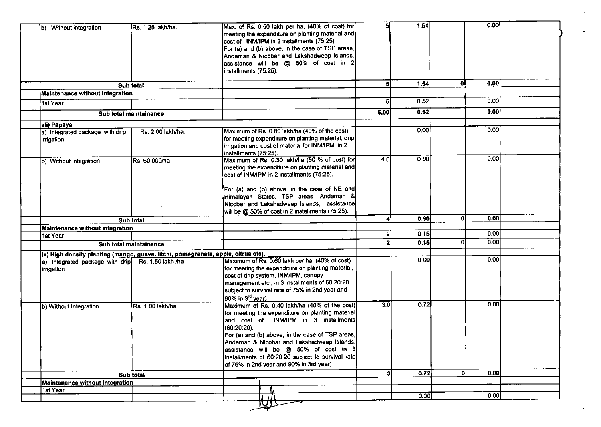| b) Without integration                                                             | Rs. 1.25 lakh/ha.      | Max. of Rs. 0.50 lakh per ha, (40% of cost) for<br>meeting the expenditure on planting material and                                          | 5                       | 1.54 |    | 0.00              |  |
|------------------------------------------------------------------------------------|------------------------|----------------------------------------------------------------------------------------------------------------------------------------------|-------------------------|------|----|-------------------|--|
|                                                                                    |                        | cost of INM/IPM in 2 installments (75:25).<br>For (a) and (b) above, in the case of TSP areas,<br>Andaman & Nicobar and Lakshadweep Islands, |                         |      |    |                   |  |
|                                                                                    |                        | assistance will be @ 50% of cost in 2<br>installments (75:25).                                                                               |                         |      |    |                   |  |
|                                                                                    | Sub total              |                                                                                                                                              | 51                      | 1.54 | ol | 0.00              |  |
| <b>Maintenance without Integration</b>                                             |                        |                                                                                                                                              |                         |      |    |                   |  |
| 1st Year                                                                           |                        |                                                                                                                                              | 51                      | 0.52 |    | 0.00              |  |
|                                                                                    | Sub total maintainance |                                                                                                                                              | 5.00                    | 0.52 |    | 0.00              |  |
| vii) Papaya                                                                        |                        |                                                                                                                                              |                         |      |    |                   |  |
| a) Integrated package with drip                                                    | Rs. 2.00 lakh/ha.      | Maximum of Rs. 0.80 lakh/ha (40% of the cost)                                                                                                |                         | 0.00 |    | 0.00              |  |
| irrigation.                                                                        |                        | for meeting expenditure on planting material, drip                                                                                           |                         |      |    |                   |  |
|                                                                                    |                        | irrigation and cost of material for INM/IPM, in 2                                                                                            |                         |      |    |                   |  |
|                                                                                    |                        | installments (75:25).<br>Maximum of Rs. 0.30 lakh/ha (50 % of cost) for                                                                      | 4.0                     | 0.90 |    | 0.00              |  |
| b) Without integration                                                             | Rs. 60,000/ha          | meeting the expenditure on planting material and                                                                                             |                         |      |    |                   |  |
|                                                                                    |                        | cost of INM/IPM in 2 installments (75:25).                                                                                                   |                         |      |    |                   |  |
|                                                                                    |                        |                                                                                                                                              |                         |      |    |                   |  |
|                                                                                    |                        | For (a) and (b) above, in the case of NE and                                                                                                 |                         |      |    |                   |  |
|                                                                                    |                        | Himalayan States, TSP areas, Andaman &                                                                                                       |                         |      |    |                   |  |
|                                                                                    |                        | Nicobar and Lakshadweep Islands, assistance                                                                                                  |                         |      |    |                   |  |
|                                                                                    |                        | will be @ 50% of cost in 2 installments (75:25).                                                                                             |                         |      |    |                   |  |
|                                                                                    | Sub total              |                                                                                                                                              | 41                      | 0.90 | οI | 0.00              |  |
| Maintenance without Integration                                                    |                        |                                                                                                                                              |                         |      |    | 0.00              |  |
| 1st Year                                                                           |                        |                                                                                                                                              |                         | 0.15 |    |                   |  |
|                                                                                    | Sub total maintainance |                                                                                                                                              |                         | 0.15 | Οl | 0.00              |  |
| (ix) High density planting (mango, guava, litchi, pomegranate, apple, citrus etc). |                        |                                                                                                                                              |                         |      |    |                   |  |
| [a) Integrated package with drip Rs. 1.50 lakh /ha                                 |                        | Maximum of Rs. 0.60 lakh per ha. (40% of cost)                                                                                               |                         | 0.00 |    | 0.00              |  |
| <i>irrigation</i>                                                                  |                        | for meeting the expenditure on planting material,                                                                                            |                         |      |    |                   |  |
|                                                                                    |                        | cost of drip system, INM/IPM, canopy                                                                                                         |                         |      |    |                   |  |
|                                                                                    |                        | management etc., in 3 installments of 60:20:20                                                                                               |                         |      |    |                   |  |
|                                                                                    |                        | subject to survival rate of 75% in 2nd year and<br>90% in 3 <sup>rd</sup> year).                                                             |                         |      |    |                   |  |
|                                                                                    |                        | Maximum of Rs. 0.40 lakh/ha (40% of the cost)                                                                                                | 3.0                     | 0.72 |    | 0.00              |  |
| b) Without Integration.                                                            | Rs. 1.00 lakh/ha.      | for meeting the expenditure on planting material                                                                                             |                         |      |    |                   |  |
|                                                                                    |                        | and cost of INM/IPM in 3 installments                                                                                                        |                         |      |    |                   |  |
|                                                                                    |                        | $(60:20:20)$ .                                                                                                                               |                         |      |    |                   |  |
|                                                                                    |                        | For (a) and (b) above, in the case of TSP areas,                                                                                             |                         |      |    |                   |  |
|                                                                                    |                        | Andaman & Nicobar and Lakshadweep Islands,                                                                                                   |                         |      |    |                   |  |
|                                                                                    |                        | assistance will be @ 50% of cost in 3                                                                                                        |                         |      |    |                   |  |
|                                                                                    |                        | installments of 60:20:20 subject to survival rate                                                                                            |                         |      |    |                   |  |
|                                                                                    |                        | of 75% in 2nd year and 90% in 3rd year)                                                                                                      |                         |      |    |                   |  |
|                                                                                    | Sub total              |                                                                                                                                              | $\overline{\mathbf{3}}$ | 0.72 | 0l | 0.00              |  |
| Maintenance without Integration                                                    |                        |                                                                                                                                              |                         |      |    |                   |  |
| 1st Year                                                                           |                        |                                                                                                                                              |                         |      |    |                   |  |
|                                                                                    |                        |                                                                                                                                              |                         | 0.00 |    | $\overline{0.00}$ |  |

 $\sigma_{\rm{max}}$ 

 $\omega_{\rm{max}}$ 

 $\bullet$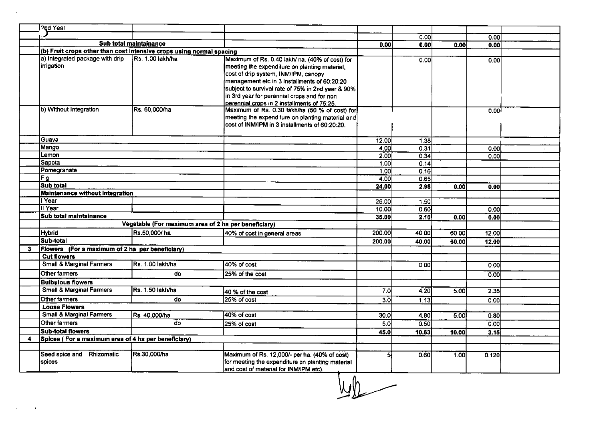|   | 20d Year                                                             |                                                      |                                                                                                                                                                                                                                                                                                                                             |                   |       |                   |       |  |
|---|----------------------------------------------------------------------|------------------------------------------------------|---------------------------------------------------------------------------------------------------------------------------------------------------------------------------------------------------------------------------------------------------------------------------------------------------------------------------------------------|-------------------|-------|-------------------|-------|--|
|   |                                                                      |                                                      |                                                                                                                                                                                                                                                                                                                                             |                   | 0.00  |                   | 0.00  |  |
|   |                                                                      | Sub total maintainance                               |                                                                                                                                                                                                                                                                                                                                             | 0.00              | 0.00  | 0.00              | 0.00  |  |
|   | (b) Fruit crops other than cost intensive crops using normal spacing |                                                      |                                                                                                                                                                                                                                                                                                                                             |                   |       |                   |       |  |
|   | a) Integrated package with drip<br>irrigation                        | Rs. 1.00 lakh/ha                                     | Maximum of Rs. 0.40 lakh/ ha. (40% of cost) for<br>meeting the expenditure on planting material,<br>cost of drip system, INM/IPM, canopy<br>management etc in 3 installments of 60:20:20<br>subject to survival rate of 75% in 2nd year & 90%<br>in 3rd year for perennial crops and for non<br>perennial crops in 2 installments of 75:25. |                   | 0.00  |                   | 0.00  |  |
|   | b) Without Integration                                               | Rs. 60,000/ha                                        | Maximum of Rs. 0.30 lakh/ha (50 % of cost) for<br>meeting the expenditure on planting material and<br>cost of INM/IPM in 3 installments of 60:20:20.                                                                                                                                                                                        |                   |       |                   | 0.00  |  |
|   | Guava                                                                |                                                      |                                                                                                                                                                                                                                                                                                                                             | 12.00             | 1.38  |                   |       |  |
|   | Mango                                                                |                                                      |                                                                                                                                                                                                                                                                                                                                             | 4.00              | 0.31  |                   | 0.00  |  |
|   | Lemon                                                                |                                                      |                                                                                                                                                                                                                                                                                                                                             | 2,00              | 0.34  |                   | 0.00  |  |
|   | <b>Sapota</b>                                                        |                                                      |                                                                                                                                                                                                                                                                                                                                             | 1.00 <sub>l</sub> | 0.14  |                   |       |  |
|   | Pomegranate                                                          |                                                      |                                                                                                                                                                                                                                                                                                                                             | 1,00              | 0.16  |                   |       |  |
|   | Fig                                                                  |                                                      |                                                                                                                                                                                                                                                                                                                                             | 4.00I             | 0.65  |                   |       |  |
|   | Sub total                                                            |                                                      |                                                                                                                                                                                                                                                                                                                                             | 24.00             | 2.98  | 0.00 <sub>l</sub> | 0.00  |  |
|   | <b>Maintenance without Integration</b>                               |                                                      |                                                                                                                                                                                                                                                                                                                                             |                   |       |                   |       |  |
|   | I Year                                                               |                                                      |                                                                                                                                                                                                                                                                                                                                             | 25.00             | 1.50  |                   |       |  |
|   | Il Year                                                              |                                                      |                                                                                                                                                                                                                                                                                                                                             | 10.00             | 0.60  |                   | 0.00  |  |
|   | Sub total maintainance                                               |                                                      |                                                                                                                                                                                                                                                                                                                                             | 35.00             | 2.10  | 0.00              | 0.00  |  |
|   |                                                                      | Vegetable (For maximum area of 2 ha per beneficiary) |                                                                                                                                                                                                                                                                                                                                             |                   |       |                   |       |  |
|   | <b>Hybrid</b>                                                        | Rs.50,000/ha                                         | 40% of cost in general areas                                                                                                                                                                                                                                                                                                                | 200.00            | 40.00 | 60.00             | 12.00 |  |
|   | Sub-total                                                            |                                                      |                                                                                                                                                                                                                                                                                                                                             | 200.00            | 40.00 | 60.00             | 12.00 |  |
| 3 | Flowers (For a maximum of 2 ha per beneficiary)                      |                                                      |                                                                                                                                                                                                                                                                                                                                             |                   |       |                   |       |  |
|   | <b>Cut flowers</b>                                                   |                                                      |                                                                                                                                                                                                                                                                                                                                             |                   |       |                   |       |  |
|   | <b>Small &amp; Marginal Farmers</b>                                  | Rs. 1.00 lakh/ha                                     | 40% of cost                                                                                                                                                                                                                                                                                                                                 |                   | 0.00  |                   | 0.00  |  |
|   | Other farmers                                                        | do                                                   | 25% of the cost                                                                                                                                                                                                                                                                                                                             |                   |       |                   | 0.00  |  |
|   | <b>Bulbulous flowers</b>                                             |                                                      |                                                                                                                                                                                                                                                                                                                                             |                   |       |                   |       |  |
|   | <b>Small &amp; Marginal Farmers</b>                                  | Rs. 1.50 lakh/ha                                     | 40 % of the cost                                                                                                                                                                                                                                                                                                                            | 7.0               | 4.20  | 5.00              | 2.35  |  |
|   | Other farmers                                                        | do                                                   | 25% of cost                                                                                                                                                                                                                                                                                                                                 | 30                | 1.13  |                   | 0.00  |  |
|   | <b>Loose Flowers</b>                                                 |                                                      |                                                                                                                                                                                                                                                                                                                                             |                   |       |                   |       |  |
|   | <b>Small &amp; Marginal Farmers</b>                                  | Rs. 40,000/ha                                        | 40% of cost                                                                                                                                                                                                                                                                                                                                 | 30.0              | 4.80  | 5.00              | 0.80  |  |
|   | Other farmers                                                        | do                                                   | 25% of cost                                                                                                                                                                                                                                                                                                                                 | 5.0               | 0.50  |                   | 0.001 |  |
|   | <b>Sub-total flowers</b>                                             |                                                      |                                                                                                                                                                                                                                                                                                                                             | 45.0              | 10.63 | 10.00             | 3.15  |  |
| 4 | Spices (For a maximum area of 4 ha per beneficiary)                  |                                                      |                                                                                                                                                                                                                                                                                                                                             |                   |       |                   |       |  |
|   |                                                                      |                                                      |                                                                                                                                                                                                                                                                                                                                             |                   |       |                   |       |  |
|   | Seed spice and Rhizomatic<br>spices                                  | Rs.30,000/ha                                         | Maximum of Rs. 12,000/- per ha. (40% of cost)<br>for meeting the expenditure on planting material<br>and cost of material for INM/IPM etc).                                                                                                                                                                                                 | 5                 | 0.60  | 1.00              | 0.120 |  |

 $\underline{\hspace{1cm}}$ 

 $\sim$   $\sim$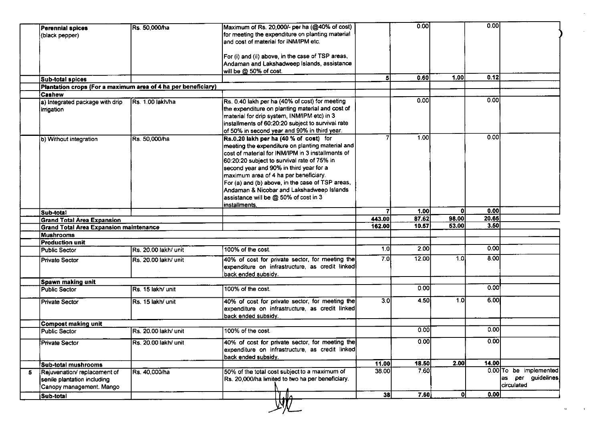| <b>Perennial spices</b><br>(black pepper)                                                | Rs. 50,000/ha         | Maximum of Rs. 20,000/- per ha (@40% of cost)<br>for meeting the expenditure on planting material |        | 0.00  |       | 0.00  |                        |
|------------------------------------------------------------------------------------------|-----------------------|---------------------------------------------------------------------------------------------------|--------|-------|-------|-------|------------------------|
|                                                                                          |                       | and cost of material for INM/IPM etc.                                                             |        |       |       |       |                        |
|                                                                                          |                       |                                                                                                   |        |       |       |       |                        |
|                                                                                          |                       | For (i) and (ii) above, in the case of TSP areas,                                                 |        |       |       |       |                        |
|                                                                                          |                       | Andaman and Lakshadweep Islands, assistance                                                       |        |       |       |       |                        |
|                                                                                          |                       | will be @ 50% of cost.                                                                            | 51     | 0.60  | 1.00  | 0.12  |                        |
| <b>Sub-total spices</b><br>Plantation crops (For a maximum area of 4 ha per beneficiary) |                       |                                                                                                   |        |       |       |       |                        |
| Cashew                                                                                   |                       |                                                                                                   |        |       |       |       |                        |
| a) Integrated package with drip                                                          | Rs. 1.00 lakh/ha      | Rs. 0.40 lakh per ha (40% of cost) for meeting                                                    |        | 0.001 |       | 0.001 |                        |
| irrigation                                                                               |                       | the expenditure on planting material and cost of                                                  |        |       |       |       |                        |
|                                                                                          |                       | material for drip system, INM/IPM etc) in 3                                                       |        |       |       |       |                        |
|                                                                                          |                       | installments of 60:20:20 subject to survival rate                                                 |        |       |       |       |                        |
|                                                                                          |                       | of 50% in second year and 90% in third year.                                                      |        |       |       |       |                        |
| b) Without integration                                                                   | Rs. 50,000/ha         | Rs.0.20 lakh per ha (40 % of cost) for                                                            |        | 1.00  |       | 0.00  |                        |
|                                                                                          |                       | meeting the expenditure on planting material and                                                  |        |       |       |       |                        |
|                                                                                          |                       | cost of material for INM/IPM in 3 installments of                                                 |        |       |       |       |                        |
|                                                                                          |                       | 60:20:20 subject to survival rate of 75% in                                                       |        |       |       |       |                        |
|                                                                                          |                       | second year and 90% in third year for a                                                           |        |       |       |       |                        |
|                                                                                          |                       | maximum area of 4 ha per beneficiary.                                                             |        |       |       |       |                        |
|                                                                                          |                       | For (a) and (b) above, in the case of TSP areas,                                                  |        |       |       |       |                        |
|                                                                                          |                       | Andaman & Nicobar and Lakshadweep Islands                                                         |        |       |       |       |                        |
|                                                                                          |                       | assistance will be @ 50% of cost in 3                                                             |        |       |       |       |                        |
|                                                                                          |                       | installments.                                                                                     |        |       |       |       |                        |
| Sub-total                                                                                |                       |                                                                                                   | 7      | 1.00  | ΩI    | 0.00  |                        |
| <b>Grand Total Area Expansion</b>                                                        |                       |                                                                                                   | 443.00 | 87.62 | 98.00 | 20.65 |                        |
| <b>Grand Total Area Expansion maintenance</b>                                            |                       |                                                                                                   | 162.00 | 10.57 | 53.00 | 3.50  |                        |
| <b>Mushrooms</b>                                                                         |                       |                                                                                                   |        |       |       |       |                        |
| <b>Production unit</b>                                                                   |                       |                                                                                                   |        |       |       |       |                        |
| Public Sector                                                                            | IRs. 20.00 lakh/ unit | 100% of the cost.                                                                                 | 1.0    | 2.00  |       | 0.00  |                        |
| <b>Private Sector</b>                                                                    | Rs. 20.00 lakh/ unit  | 40% of cost for private sector, for meeting the                                                   | 7.0    | 12.00 | 1.01  | 8.00  |                        |
|                                                                                          |                       | expenditure on infrastructure, as credit linked                                                   |        |       |       |       |                        |
|                                                                                          |                       | back ended subsidy.                                                                               |        |       |       |       |                        |
| Spawn making unit                                                                        |                       |                                                                                                   |        | 0.001 |       | 0.00  |                        |
| Public Sector                                                                            | Rs. 15 lakh/ unit     | 100% of the cost.                                                                                 |        |       |       |       |                        |
| Private Sector                                                                           | Rs. 15 lakh/ unit     | 40% of cost for private sector, for meeting the                                                   | 3.0    | 4.50  | 1.0   | 6.00  |                        |
|                                                                                          |                       | expenditure on infrastructure, as credit linked                                                   |        |       |       |       |                        |
|                                                                                          |                       | back ended subsidy.                                                                               |        |       |       |       |                        |
| Compost making unit                                                                      |                       |                                                                                                   |        |       |       |       |                        |
| <b>Public Sector</b>                                                                     | Rs. 20.00 lakh/ unit  | 100% of the cost.                                                                                 |        | 0.00  |       | 0.001 |                        |
| <b>Private Sector</b>                                                                    | Rs. 20.00 lakh/ unit  | 40% of cost for private sector, for meeting the                                                   |        | 0.00  |       | 0.00  |                        |
|                                                                                          |                       | expenditure on infrastructure, as credit linked                                                   |        |       |       |       |                        |
|                                                                                          |                       | back ended subsidy.                                                                               |        |       |       |       |                        |
| Sub-total mushrooms                                                                      |                       |                                                                                                   | 11.00  | 18.50 | 2.00  | 14.00 |                        |
| Rejuvenation/replacement of                                                              | Rs. 40,000/ha         | 50% of the total cost subject to a maximum of                                                     | 38.00  | 7.60  |       |       | 0.00 To be implemented |
| senile plantation including                                                              |                       | Rs. 20,000/ha limited to two ha per beneficiary.                                                  |        |       |       |       | as per guidelines      |
| Canopy management. Mango                                                                 |                       |                                                                                                   |        |       |       |       | circulated             |
|                                                                                          |                       |                                                                                                   | 38     | 7.60  | οI    | 0.00  |                        |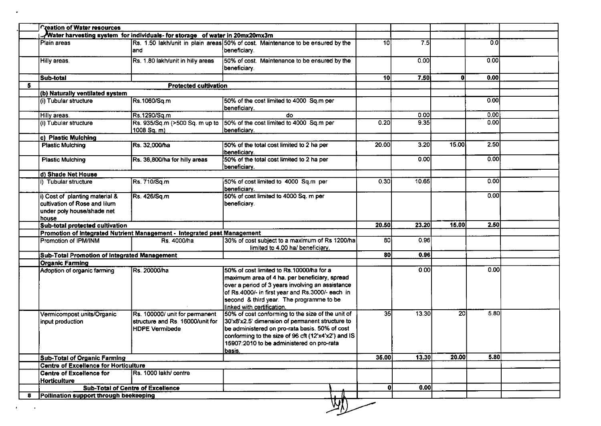|                                                                                               |                                       | Water harvesting system for individuals- for storage of water in 20mx20mx3m                 |                                                                                                                                                                                                                                                                                      |                 |       |                 |                  |  |
|-----------------------------------------------------------------------------------------------|---------------------------------------|---------------------------------------------------------------------------------------------|--------------------------------------------------------------------------------------------------------------------------------------------------------------------------------------------------------------------------------------------------------------------------------------|-----------------|-------|-----------------|------------------|--|
| Plain areas                                                                                   |                                       | and                                                                                         | Rs. 1.50 lakh/unit in plain areas 50% of cost. Maintenance to be ensured by the<br>beneficiary.                                                                                                                                                                                      | 10I             | 75    |                 | 0.0 <sub>l</sub> |  |
| Hilly areas.                                                                                  |                                       | Rs. 1.80 lakh/unit in hilly areas                                                           | 50% of cost. Maintenance to be ensured by the<br>beneficiary.                                                                                                                                                                                                                        |                 | 0.00  |                 | 0.00             |  |
| Sub-total                                                                                     |                                       |                                                                                             |                                                                                                                                                                                                                                                                                      | 10 <sup>1</sup> | 7.50  | 0               | 0.00             |  |
|                                                                                               |                                       | <b>Protected cultivation</b>                                                                |                                                                                                                                                                                                                                                                                      |                 |       |                 |                  |  |
|                                                                                               | (b) Naturally ventilated system       |                                                                                             |                                                                                                                                                                                                                                                                                      |                 |       |                 |                  |  |
| (i) Tubular structure                                                                         |                                       | Rs.1060/Sq.m                                                                                | 50% of the cost limited to 4000 Sq.m per<br>beneficiary.                                                                                                                                                                                                                             |                 |       |                 | 0.00             |  |
| Hilly areas.                                                                                  |                                       | Rs.1290/Sq.m                                                                                | do                                                                                                                                                                                                                                                                                   |                 | 0.00  |                 | 0.00             |  |
| (i) Tubular structure                                                                         |                                       | Rs. 935/Sq.m (>500 Sq. m up to<br>$1008$ Sq. m)                                             | 50% of the cost limited to 4000 Sq.m per<br>beneficiary.                                                                                                                                                                                                                             | 0.20            | 9.35  |                 | 0.00             |  |
| c) Plastic Mulching                                                                           |                                       |                                                                                             |                                                                                                                                                                                                                                                                                      |                 |       |                 |                  |  |
| <b>Plastic Mulching</b>                                                                       |                                       | Rs. 32,000/ha                                                                               | 50% of the total cost limited to 2 ha per<br>beneficiary.                                                                                                                                                                                                                            | 20.00           | 3.20  | 15.00           | 2.50             |  |
| <b>Plastic Mulching</b>                                                                       |                                       | Rs. 36,800/ha for hilly areas                                                               | 50% of the total cost limited to 2 ha per<br>beneficiary.                                                                                                                                                                                                                            |                 | 0.001 |                 | 0.00             |  |
| d) Shade Net House                                                                            |                                       |                                                                                             |                                                                                                                                                                                                                                                                                      |                 |       |                 |                  |  |
| i) Tubular structure                                                                          |                                       | Rs. 710/Sq.m                                                                                | 50% of cost limited to 4000 Sq.m per<br>beneficiary.                                                                                                                                                                                                                                 | 0.30            | 10.65 |                 | 0.00             |  |
| i) Cost of planting material &<br>cultivation of Rose and lilum<br>under poly house/shade net |                                       | Rs. 426/Sq.m                                                                                | 50% of cost limited to 4000 Sq. m per<br>beneficiary.                                                                                                                                                                                                                                |                 |       |                 | 0.00             |  |
| house                                                                                         | Sub-total protected cultivation       |                                                                                             |                                                                                                                                                                                                                                                                                      | 20.50           | 23.20 | 15.00           | 2.50             |  |
|                                                                                               |                                       | Promotion of Integrated Nutrient Management - Integrated pest Management                    |                                                                                                                                                                                                                                                                                      |                 |       |                 |                  |  |
| Promotion of IPM/INM                                                                          |                                       | Rs. 4000/ha                                                                                 | 30% of cost subject to a maximum of Rs 1200/ha<br>limited to 4.00 ha/ beneficiary.                                                                                                                                                                                                   | 80 l            | 0.96  |                 |                  |  |
|                                                                                               |                                       | Sub-Total Promotion of Integrated Management                                                |                                                                                                                                                                                                                                                                                      | 80              | 0.96  |                 |                  |  |
| Organic Farming                                                                               |                                       |                                                                                             |                                                                                                                                                                                                                                                                                      |                 |       |                 |                  |  |
| Adoption of organic farming                                                                   |                                       | Rs. 20000/ha                                                                                | <b>I</b> 50% of cost limited to Rs.10000/ha for a<br>maximum area of 4 ha. per beneficiary, spread<br>over a period of 3 years involving an assistance<br>of Rs.4000/- in first year and Rs.3000/- each in<br>second & third year. The programme to be<br>linked with certification. |                 | 0.00  |                 | 0.00             |  |
| Vermicompost units/Organic<br>input production                                                |                                       | Rs. 100000/ unit for permanent<br>structure and Rs. 16000/unit for<br><b>HDPE Vermibede</b> | 50% of cost conforming to the size of the unit of<br>30'x8'x2.5' dimension of permanent structure to<br>be administered on pro-rata basis. 50% of cost<br>conforming to the size of 96 cft (12'x4'x2') and IS<br>15907:2010 to be administered on pro-rata<br><u>basis.</u>          | 35 <sub>l</sub> | 13.30 | 20 <sub>l</sub> | <b>5.80</b>      |  |
|                                                                                               | <b>Sub-Total of Organic Farming</b>   |                                                                                             |                                                                                                                                                                                                                                                                                      | 35.00           | 13.30 | 20.00           | 5.80             |  |
|                                                                                               | Centre of Excellence for Horticulture |                                                                                             |                                                                                                                                                                                                                                                                                      |                 |       |                 |                  |  |
| Centre of Excellence for<br><b>Horticulture</b>                                               |                                       | Rs. 1000 lakh/ centre                                                                       |                                                                                                                                                                                                                                                                                      |                 |       |                 |                  |  |
|                                                                                               |                                       | <b>Sub-Total of Centre of Excellence</b>                                                    |                                                                                                                                                                                                                                                                                      | ΩI              | 0.00  |                 |                  |  |
|                                                                                               |                                       |                                                                                             |                                                                                                                                                                                                                                                                                      |                 |       |                 |                  |  |

 $\ddot{\phantom{a}}$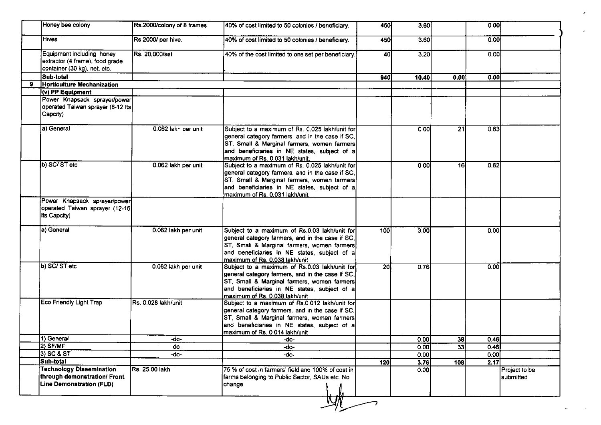| Honey bee colony                                                                                   | Rs.2000/colony of 8 frames  | 40% of cost limited to 50 colonies / beneficiary.                                                                                                                                                                                     | 450       | 3.60  |      | 0.00 |                            |
|----------------------------------------------------------------------------------------------------|-----------------------------|---------------------------------------------------------------------------------------------------------------------------------------------------------------------------------------------------------------------------------------|-----------|-------|------|------|----------------------------|
| <b>Hives</b>                                                                                       | Rs 2000/ per hive.          | 40% of cost limited to 50 colonies / beneficiary.                                                                                                                                                                                     | 450       | 3.60  |      | 0.00 |                            |
| Equipment including honey<br>extractor (4 frame), food grade<br>container (30 kg), net, etc.       | Rs 20,000/set               | 40% of the cost limited to one set per beneficiary.                                                                                                                                                                                   | 40        | 3.20  |      | 0.00 |                            |
| Sub-total                                                                                          |                             |                                                                                                                                                                                                                                       | 940       | 10.40 | 0.00 | 0.00 |                            |
| Horticulture Mechanization                                                                         |                             |                                                                                                                                                                                                                                       |           |       |      |      |                            |
| (v) PP Equipment                                                                                   |                             |                                                                                                                                                                                                                                       |           |       |      |      |                            |
| Power Knapsack sprayer/power<br>operated Taiwan sprayer (8-12 Its<br>Capcity)                      |                             |                                                                                                                                                                                                                                       |           |       |      |      |                            |
| a) General                                                                                         | 0.062 lakh per unit         | Subject to a maximum of Rs. 0.025 lakh/unit for<br>general category farmers, and in the case if SC,<br>ST, Small & Marginal farmers, women farmers<br>and beneficiaries in NE states, subject of a<br>maximum of Rs. 0.031 lakh/unit. |           | 0.00  | 21   | 0.63 |                            |
| b) SC/ST etc                                                                                       | 0.062 lakh per unit         | Subject to a maximum of Rs. 0.025 lakh/unit for<br>general category farmers, and in the case if SC,<br>ST, Small & Marginal farmers, women farmers<br>and beneficiaries in NE states, subject of a<br>maximum of Rs. 0.031 lakh/unit. |           | 0.00  | 16   | 0.62 |                            |
| Power Knapsack sprayer/power                                                                       |                             |                                                                                                                                                                                                                                       |           |       |      |      |                            |
| operated Taiwan sprayer (12-16)<br>Its Capcity)                                                    |                             |                                                                                                                                                                                                                                       |           |       |      |      |                            |
| a) General                                                                                         | 0.062 lakh per unit         | Subject to a maximum of Rs.0.03 lakh/unit for<br>general category farmers, and in the case if SC,<br>ST, Small & Marginal farmers, women farmers<br>and beneficiaries in NE states, subject of a<br>maximum of Rs. 0.038 lakh/unit    | 100       | 3.00  |      | 0.00 |                            |
| b) SC/ST etc                                                                                       | 0.062 lakh per unit         | Subject to a maximum of Rs.0.03 lakh/unit for<br>general category farmers, and in the case if SC,<br>ST, Small & Marginal farmers, women farmers<br>and beneficiaries in NE states, subject of a<br>maximum of Rs. 0.038 lakh/unit    | <b>20</b> | 0.76  |      | 0.00 |                            |
| Eco Friendly Light Trap                                                                            | <b>IRs. 0.028 lakh/unit</b> | Subject to a maximum of Rs.0.012 lakh/unit for<br>general category farmers, and in the case if SC,<br>ST, Small & Marginal farmers, women farmers<br>and beneficiaries in NE states, subject of a<br>maximum of Rs. 0.014 lakh/unit   |           |       |      |      |                            |
| 1) General                                                                                         | -do-                        | -do-                                                                                                                                                                                                                                  |           | 0.00  | 38   | 0.46 |                            |
| 2) SF/MF                                                                                           | -do-                        | -do-                                                                                                                                                                                                                                  |           | 0.00  | 33   | 0.46 |                            |
| 3) SC & ST                                                                                         | -do-                        | -do-                                                                                                                                                                                                                                  |           | 0.001 |      | 0.00 |                            |
| Sub-total                                                                                          |                             |                                                                                                                                                                                                                                       | 120       | 3.76  | 108  | 2.17 |                            |
| <b>Technology Dissemination</b><br>through demonstration/ Front<br><b>Line Demonstration (FLD)</b> | Rs. 25.00 lakh              | 75 % of cost in farmers' field and 100% of cost in<br>farms belonging to Public Sector, SAUs etc. No<br> change                                                                                                                       |           | 0.00  |      |      | Project to be<br>submitted |

 $\bullet$ 

 $\sim$ 

 $\sim$  1  $\sim$ 

 $\ddot{\phantom{a}}$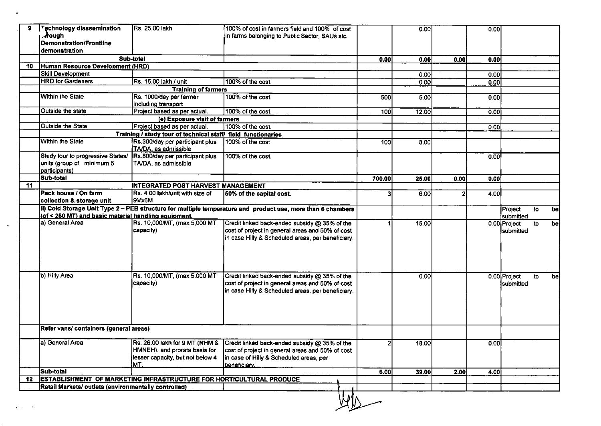| 9  | Technology disssemination<br><b>A</b> ough<br>Demonstration/Frontline<br>demonstration | Rs. 25.00 lakh                                                    | 100% of cost in farmers field and 100% of cost<br>in farms belonging to Public Sector, SAUs stc.                                                                                                                 |        | 0.00  |      | 0.00   |                                                               |  |
|----|----------------------------------------------------------------------------------------|-------------------------------------------------------------------|------------------------------------------------------------------------------------------------------------------------------------------------------------------------------------------------------------------|--------|-------|------|--------|---------------------------------------------------------------|--|
|    |                                                                                        | Sub-total                                                         |                                                                                                                                                                                                                  | 0.00   | 0.00  | 0.00 | 0.00   |                                                               |  |
| 10 | Human Resource Development (HRD)                                                       |                                                                   |                                                                                                                                                                                                                  |        |       |      |        |                                                               |  |
|    | Skill Development                                                                      |                                                                   |                                                                                                                                                                                                                  |        | 0.00  |      | 0.001  |                                                               |  |
|    | <b>HRD</b> for Gardeners                                                               | Rs. 15.00 lakh / unit                                             | 100% of the cost                                                                                                                                                                                                 |        | 0.00  |      | 0.00   |                                                               |  |
|    |                                                                                        | <b>Training of farmers</b>                                        |                                                                                                                                                                                                                  |        |       |      |        |                                                               |  |
|    | <b>Within the State</b>                                                                | Rs. 1000/day per farmer                                           | 100% of the cost.                                                                                                                                                                                                | 500    | 5.00  |      | 0.00   |                                                               |  |
|    |                                                                                        | including transport                                               |                                                                                                                                                                                                                  |        |       |      |        |                                                               |  |
|    | Outside the state                                                                      | Project based as per actual.                                      | 100% of the cost.                                                                                                                                                                                                | 100    | 12.00 |      | [0.00] |                                                               |  |
|    |                                                                                        | (e) Exposure visit of farmers                                     |                                                                                                                                                                                                                  |        |       |      |        |                                                               |  |
|    | Outside the State                                                                      | Project based as per actual.                                      | 100% of the cost.                                                                                                                                                                                                |        |       |      | 0.00   |                                                               |  |
|    |                                                                                        | Training / study tour of technical staff/ field functionaries     |                                                                                                                                                                                                                  |        |       |      |        |                                                               |  |
|    | <b>Within the State</b>                                                                | Rs.300/day per participant plus<br>TA/DA, as admissible           | 100% of the cost                                                                                                                                                                                                 | 100    | 8.00  |      |        |                                                               |  |
|    | Study tour to progressive States/<br>units (group of minimum 5<br>participants)        | Rs.800/day per participant plus<br>TA/DA, as admissible           | 100% of the cost.                                                                                                                                                                                                |        |       |      | 0.00   |                                                               |  |
|    | <b>Sub-total</b>                                                                       |                                                                   |                                                                                                                                                                                                                  | 700.00 | 25.00 | 0.00 | 0.00   |                                                               |  |
| 11 |                                                                                        | <b>INTEGRATED POST HARVEST MANAGEMENT</b>                         |                                                                                                                                                                                                                  |        |       |      |        |                                                               |  |
|    | <b>IPack house / On farm</b><br>collection & storage unit                              | Rs. 4.00 lakh/unit with size of<br>9Mx6M                          | 50% of the capital cost.                                                                                                                                                                                         |        | 6.00  |      | 4.00   |                                                               |  |
|    | (of < 250 MT) and basic material handling equipment.<br>a) General Area                | Rs. 10,000/MT, (max 5,000 MT<br>capacity)                         | ii) Cold Storage Unit Type 2 - PEB structure for multiple temperature and product use, more than 6 chambers<br>Credit linked back-ended subsidy @ 35% of the<br>cost of project in general areas and 50% of cost |        | 15.00 |      |        | Project<br>to<br>submitted<br>0.00 Project<br>to<br>submitted |  |
|    |                                                                                        |                                                                   | in case Hilly & Scheduled areas, per beneficiary.                                                                                                                                                                |        |       |      |        |                                                               |  |
|    | b) Hilly Area                                                                          | Rs. 10,000/MT, (max 5,000 MT<br>capacity)                         | Credit linked back-ended subsidy @ 35% of the<br>cost of project in general areas and 50% of cost<br>in case Hilly & Scheduled areas, per beneficiary.                                                           |        | 0.00  |      |        | 0.00 Project<br>to<br>submitted                               |  |
|    | Refer vans/ containers (general areas)                                                 |                                                                   |                                                                                                                                                                                                                  |        |       |      |        |                                                               |  |
|    |                                                                                        |                                                                   |                                                                                                                                                                                                                  |        |       |      |        |                                                               |  |
|    | a) General Area                                                                        | HMNEH), and prorata basis for<br>lesser capacity, but not below 4 | Rs. 26.00 lakh for 9 MT (NHM & Credit linked back-ended subsidy @ 35% of the<br>cost of project in general areas and 50% of cost<br>in case of Hilly & Scheduled areas, per                                      |        | 18.00 |      | 0.00   |                                                               |  |
|    |                                                                                        | MT.                                                               | <u>Ibeneficiarv.</u>                                                                                                                                                                                             |        |       |      |        |                                                               |  |
|    |                                                                                        |                                                                   |                                                                                                                                                                                                                  |        |       | 2.00 | 4.00 l |                                                               |  |
|    | Sub-total                                                                              |                                                                   |                                                                                                                                                                                                                  | 6.00   | 39.00 |      |        |                                                               |  |
|    | 12 ESTABLISHMENT OF MARKETING INFRASTRUCTURE FOR HORTICULTURAL PRODUCE                 |                                                                   |                                                                                                                                                                                                                  |        |       |      |        |                                                               |  |
|    | Retail Markets/ outlets (environmentally controlled)                                   |                                                                   |                                                                                                                                                                                                                  |        |       |      |        |                                                               |  |

 $\mathcal{A}$ 

 $\sim$   $\sim$